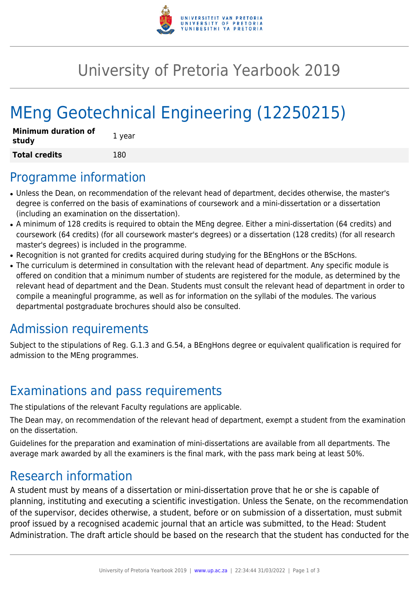

## University of Pretoria Yearbook 2019

# MEng Geotechnical Engineering (12250215)

| <b>Minimum duration of</b><br>study | 1 year |
|-------------------------------------|--------|
| <b>Total credits</b>                | 180    |

#### Programme information

- Unless the Dean, on recommendation of the relevant head of department, decides otherwise, the master's degree is conferred on the basis of examinations of coursework and a mini-dissertation or a dissertation (including an examination on the dissertation).
- A minimum of 128 credits is required to obtain the MEng degree. Either a mini-dissertation (64 credits) and coursework (64 credits) (for all coursework master's degrees) or a dissertation (128 credits) (for all research master's degrees) is included in the programme.
- Recognition is not granted for credits acquired during studying for the BEngHons or the BScHons.
- The curriculum is determined in consultation with the relevant head of department. Any specific module is offered on condition that a minimum number of students are registered for the module, as determined by the relevant head of department and the Dean. Students must consult the relevant head of department in order to compile a meaningful programme, as well as for information on the syllabi of the modules. The various departmental postgraduate brochures should also be consulted.

### Admission requirements

Subject to the stipulations of Reg. G.1.3 and G.54, a BEngHons degree or equivalent qualification is required for admission to the MEng programmes.

### Examinations and pass requirements

The stipulations of the relevant Faculty regulations are applicable.

The Dean may, on recommendation of the relevant head of department, exempt a student from the examination on the dissertation.

Guidelines for the preparation and examination of mini-dissertations are available from all departments. The average mark awarded by all the examiners is the final mark, with the pass mark being at least 50%.

#### Research information

A student must by means of a dissertation or mini-dissertation prove that he or she is capable of planning, instituting and executing a scientific investigation. Unless the Senate, on the recommendation of the supervisor, decides otherwise, a student, before or on submission of a dissertation, must submit proof issued by a recognised academic journal that an article was submitted, to the Head: Student Administration. The draft article should be based on the research that the student has conducted for the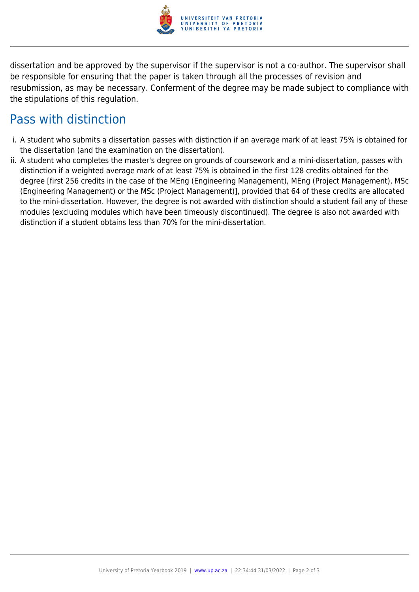

dissertation and be approved by the supervisor if the supervisor is not a co-author. The supervisor shall be responsible for ensuring that the paper is taken through all the processes of revision and resubmission, as may be necessary. Conferment of the degree may be made subject to compliance with the stipulations of this regulation.

#### Pass with distinction

- i. A student who submits a dissertation passes with distinction if an average mark of at least 75% is obtained for the dissertation (and the examination on the dissertation).
- ii. A student who completes the master's degree on grounds of coursework and a mini-dissertation, passes with distinction if a weighted average mark of at least 75% is obtained in the first 128 credits obtained for the degree [first 256 credits in the case of the MEng (Engineering Management), MEng (Project Management), MSc (Engineering Management) or the MSc (Project Management)], provided that 64 of these credits are allocated to the mini-dissertation. However, the degree is not awarded with distinction should a student fail any of these modules (excluding modules which have been timeously discontinued). The degree is also not awarded with distinction if a student obtains less than 70% for the mini-dissertation.